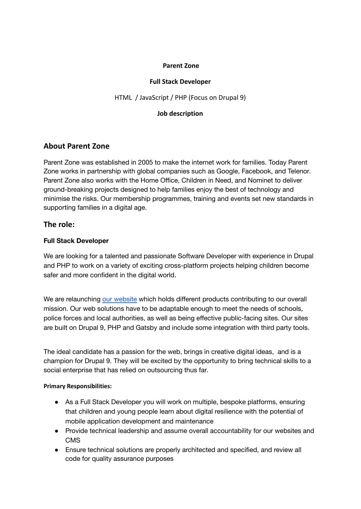#### **Parent Zone**

### **Full Stack Developer**

HTML / JavaScript / PHP (Focus on Drupal 9)

#### **Job description**

# **About Parent Zone**

Parent Zone was established in 2005 to make the internet work for families. Today Parent Zone works in partnership with global companies such as Google, Facebook, and Telenor. Parent Zone also works with the Home Office, Children in Need, and Nominet to deliver ground-breaking projects designed to help families enjoy the best of technology and minimise the risks. Our membership programmes, training and events set new standards in supporting families in a digital age.

## **The role:**

### **Full Stack Developer**

We are looking for a talented and passionate Software Developer with experience in Drupal and PHP to work on a variety of exciting cross-platform projects helping children become safer and more confident in the digital world.

We are relaunching our [website](http://www.parentzone.org.uk) which holds different products contributing to our overall mission. Our web solutions have to be adaptable enough to meet the needs of schools, police forces and local authorities, as well as being effective public-facing sites. Our sites are built on Drupal 9, PHP and Gatsby and include some integration with third party tools.

The ideal candidate has a passion for the web, brings in creative digital ideas, and is a champion for Drupal 9. They will be excited by the opportunity to bring technical skills to a social enterprise that has relied on outsourcing thus far.

#### **Primary Responsibilities:**

- As a Full Stack Developer you will work on multiple, bespoke platforms, ensuring that children and young people learn about digital resilience with the potential of mobile application development and maintenance
- Provide technical leadership and assume overall accountability for our websites and CMS
- Ensure technical solutions are properly architected and specified, and review all code for quality assurance purposes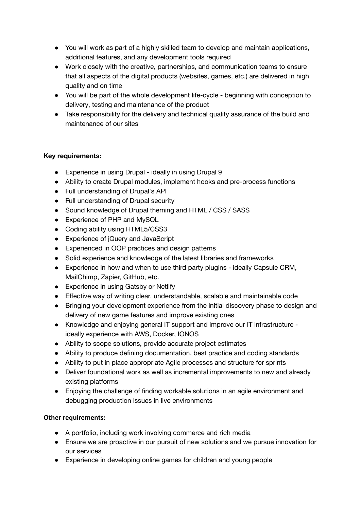- You will work as part of a highly skilled team to develop and maintain applications, additional features, and any development tools required
- Work closely with the creative, partnerships, and communication teams to ensure that all aspects of the digital products (websites, games, etc.) are delivered in high quality and on time
- You will be part of the whole development life-cycle beginning with conception to delivery, testing and maintenance of the product
- Take responsibility for the delivery and technical quality assurance of the build and maintenance of our sites

## **Key requirements:**

- Experience in using Drupal ideally in using Drupal 9
- Ability to create Drupal modules, implement hooks and pre-process functions
- Full understanding of Drupal's API
- Full understanding of Drupal security
- Sound knowledge of Drupal theming and HTML / CSS / SASS
- Experience of PHP and MySQL
- Coding ability using HTML5/CSS3
- Experience of jQuery and JavaScript
- Experienced in OOP practices and design patterns
- Solid experience and knowledge of the latest libraries and frameworks
- Experience in how and when to use third party plugins ideally Capsule CRM, MailChimp, Zapier, GitHub, etc.
- Experience in using Gatsby or Netlify
- Effective way of writing clear, understandable, scalable and maintainable code
- Bringing your development experience from the initial discovery phase to design and delivery of new game features and improve existing ones
- Knowledge and enjoying general IT support and improve our IT infrastructure ideally experience with AWS, Docker, IONOS
- Ability to scope solutions, provide accurate project estimates
- Ability to produce defining documentation, best practice and coding standards
- Ability to put in place appropriate Agile processes and structure for sprints
- Deliver foundational work as well as incremental improvements to new and already existing platforms
- Enjoying the challenge of finding workable solutions in an agile environment and debugging production issues in live environments

# **Other requirements:**

- A portfolio, including work involving commerce and rich media
- Ensure we are proactive in our pursuit of new solutions and we pursue innovation for our services
- Experience in developing online games for children and young people